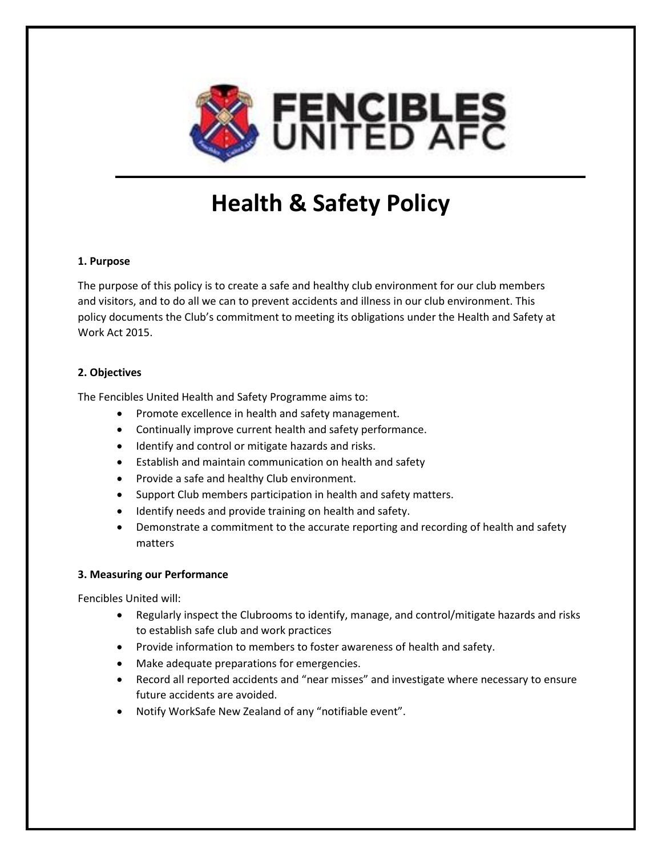

# **Health & Safety Policy**

## **1. Purpose**

The purpose of this policy is to create a safe and healthy club environment for our club members and visitors, and to do all we can to prevent accidents and illness in our club environment. This policy documents the Club's commitment to meeting its obligations under the Health and Safety at Work Act 2015.

## **2. Objectives**

The Fencibles United Health and Safety Programme aims to:

- Promote excellence in health and safety management.
- Continually improve current health and safety performance.
- Identify and control or mitigate hazards and risks.
- Establish and maintain communication on health and safety
- Provide a safe and healthy Club environment.
- Support Club members participation in health and safety matters.
- Identify needs and provide training on health and safety.
- Demonstrate a commitment to the accurate reporting and recording of health and safety matters

## **3. Measuring our Performance**

Fencibles United will:

- Regularly inspect the Clubrooms to identify, manage, and control/mitigate hazards and risks to establish safe club and work practices
- Provide information to members to foster awareness of health and safety.
- Make adequate preparations for emergencies.
- Record all reported accidents and "near misses" and investigate where necessary to ensure future accidents are avoided.
- Notify WorkSafe New Zealand of any "notifiable event".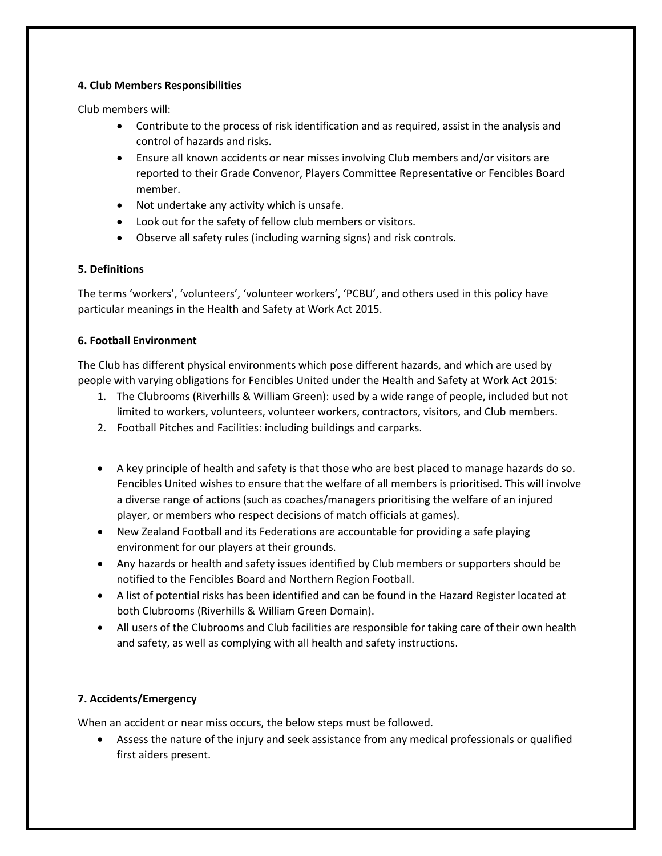## **4. Club Members Responsibilities**

Club members will:

- Contribute to the process of risk identification and as required, assist in the analysis and control of hazards and risks.
- Ensure all known accidents or near misses involving Club members and/or visitors are reported to their Grade Convenor, Players Committee Representative or Fencibles Board member.
- Not undertake any activity which is unsafe.
- Look out for the safety of fellow club members or visitors.
- Observe all safety rules (including warning signs) and risk controls.

## **5. Definitions**

The terms 'workers', 'volunteers', 'volunteer workers', 'PCBU', and others used in this policy have particular meanings in the Health and Safety at Work Act 2015.

## **6. Football Environment**

The Club has different physical environments which pose different hazards, and which are used by people with varying obligations for Fencibles United under the Health and Safety at Work Act 2015:

- 1. The Clubrooms (Riverhills & William Green): used by a wide range of people, included but not limited to workers, volunteers, volunteer workers, contractors, visitors, and Club members.
- 2. Football Pitches and Facilities: including buildings and carparks.
- A key principle of health and safety is that those who are best placed to manage hazards do so. Fencibles United wishes to ensure that the welfare of all members is prioritised. This will involve a diverse range of actions (such as coaches/managers prioritising the welfare of an injured player, or members who respect decisions of match officials at games).
- New Zealand Football and its Federations are accountable for providing a safe playing environment for our players at their grounds.
- Any hazards or health and safety issues identified by Club members or supporters should be notified to the Fencibles Board and Northern Region Football.
- A list of potential risks has been identified and can be found in the Hazard Register located at both Clubrooms (Riverhills & William Green Domain).
- All users of the Clubrooms and Club facilities are responsible for taking care of their own health and safety, as well as complying with all health and safety instructions.

# **7. Accidents/Emergency**

When an accident or near miss occurs, the below steps must be followed.

• Assess the nature of the injury and seek assistance from any medical professionals or qualified first aiders present.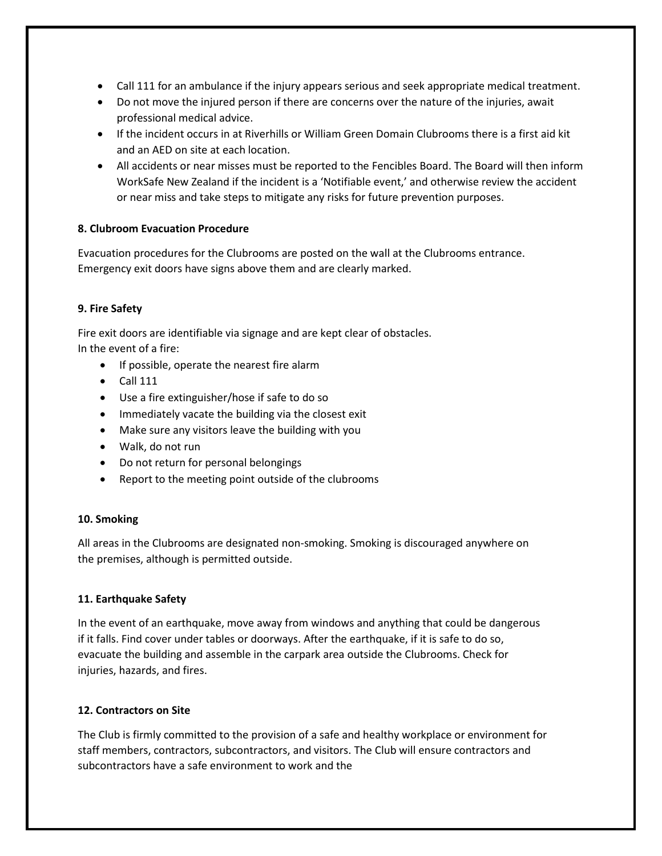- Call 111 for an ambulance if the injury appears serious and seek appropriate medical treatment.
- Do not move the injured person if there are concerns over the nature of the injuries, await professional medical advice.
- If the incident occurs in at Riverhills or William Green Domain Clubrooms there is a first aid kit and an AED on site at each location.
- All accidents or near misses must be reported to the Fencibles Board. The Board will then inform WorkSafe New Zealand if the incident is a 'Notifiable event,' and otherwise review the accident or near miss and take steps to mitigate any risks for future prevention purposes.

## **8. Clubroom Evacuation Procedure**

Evacuation procedures for the Clubrooms are posted on the wall at the Clubrooms entrance. Emergency exit doors have signs above them and are clearly marked.

## **9. Fire Safety**

Fire exit doors are identifiable via signage and are kept clear of obstacles. In the event of a fire:

- If possible, operate the nearest fire alarm
- $\bullet$  Call 111
- Use a fire extinguisher/hose if safe to do so
- Immediately vacate the building via the closest exit
- Make sure any visitors leave the building with you
- Walk, do not run
- Do not return for personal belongings
- Report to the meeting point outside of the clubrooms

## **10. Smoking**

All areas in the Clubrooms are designated non-smoking. Smoking is discouraged anywhere on the premises, although is permitted outside.

## **11. Earthquake Safety**

In the event of an earthquake, move away from windows and anything that could be dangerous if it falls. Find cover under tables or doorways. After the earthquake, if it is safe to do so, evacuate the building and assemble in the carpark area outside the Clubrooms. Check for injuries, hazards, and fires.

## **12. Contractors on Site**

The Club is firmly committed to the provision of a safe and healthy workplace or environment for staff members, contractors, subcontractors, and visitors. The Club will ensure contractors and subcontractors have a safe environment to work and the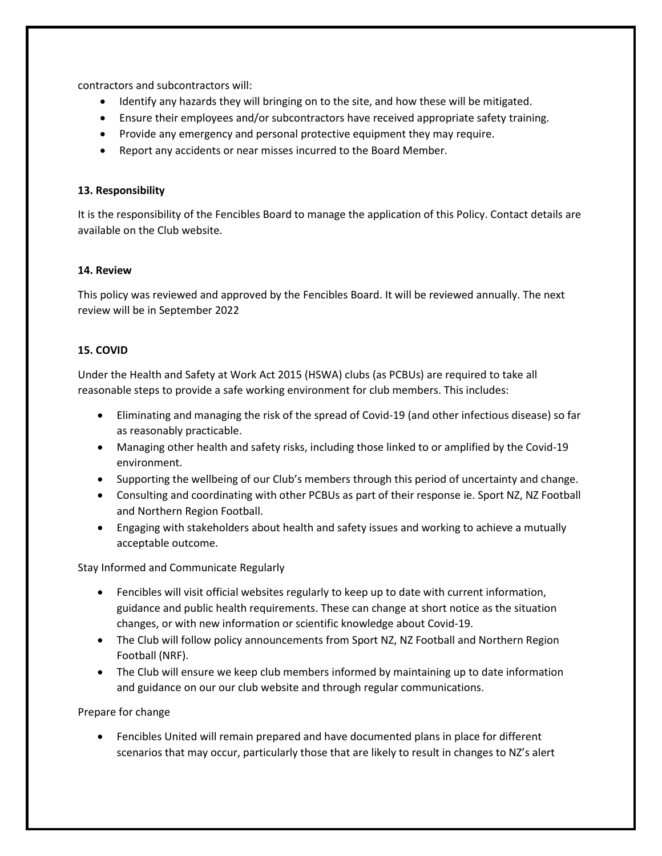contractors and subcontractors will:

- Identify any hazards they will bringing on to the site, and how these will be mitigated.
- Ensure their employees and/or subcontractors have received appropriate safety training.
- Provide any emergency and personal protective equipment they may require.
- Report any accidents or near misses incurred to the Board Member.

## **13. Responsibility**

It is the responsibility of the Fencibles Board to manage the application of this Policy. Contact details are available on the Club website.

#### **14. Review**

This policy was reviewed and approved by the Fencibles Board. It will be reviewed annually. The next review will be in September 2022

## **15. COVID**

Under the Health and Safety at Work Act 2015 (HSWA) clubs (as PCBUs) are required to take all reasonable steps to provide a safe working environment for club members. This includes:

- Eliminating and managing the risk of the spread of Covid-19 (and other infectious disease) so far as reasonably practicable.
- Managing other health and safety risks, including those linked to or amplified by the Covid-19 environment.
- Supporting the wellbeing of our Club's members through this period of uncertainty and change.
- Consulting and coordinating with other PCBUs as part of their response ie. Sport NZ, NZ Football and Northern Region Football.
- Engaging with stakeholders about health and safety issues and working to achieve a mutually acceptable outcome.

Stay Informed and Communicate Regularly

- Fencibles will visit official websites regularly to keep up to date with current information, guidance and public health requirements. These can change at short notice as the situation changes, or with new information or scientific knowledge about Covid-19.
- The Club will follow policy announcements from Sport NZ, NZ Football and Northern Region Football (NRF).
- The Club will ensure we keep club members informed by maintaining up to date information and guidance on our our club website and through regular communications.

Prepare for change

• Fencibles United will remain prepared and have documented plans in place for different scenarios that may occur, particularly those that are likely to result in changes to NZ's alert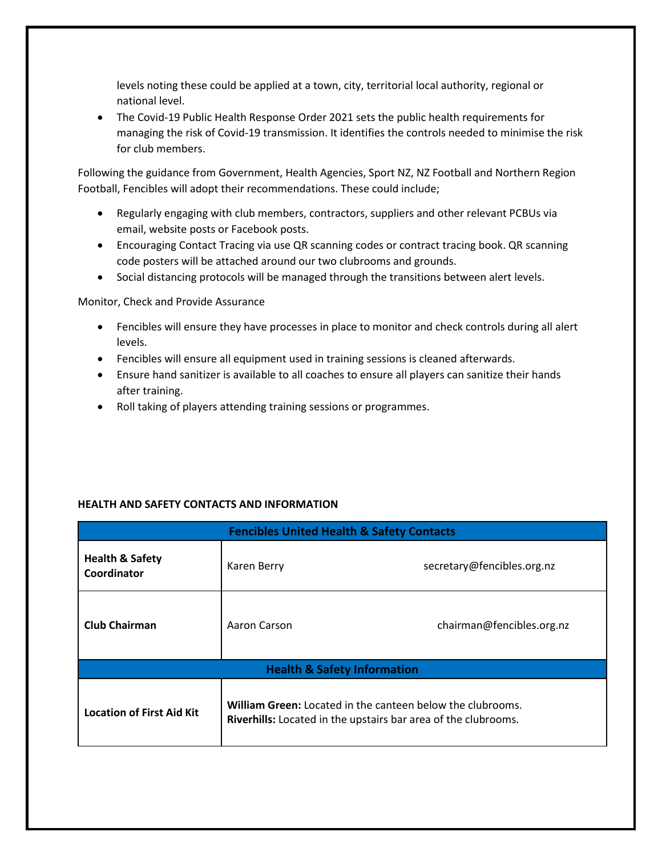levels noting these could be applied at a town, city, territorial local authority, regional or national level.

• The Covid-19 Public Health Response Order 2021 sets the public health requirements for managing the risk of Covid-19 transmission. It identifies the controls needed to minimise the risk for club members.

Following the guidance from Government, Health Agencies, Sport NZ, NZ Football and Northern Region Football, Fencibles will adopt their recommendations. These could include;

- Regularly engaging with club members, contractors, suppliers and other relevant PCBUs via email, website posts or Facebook posts.
- Encouraging Contact Tracing via use QR scanning codes or contract tracing book. QR scanning code posters will be attached around our two clubrooms and grounds.
- Social distancing protocols will be managed through the transitions between alert levels.

Monitor, Check and Provide Assurance

- Fencibles will ensure they have processes in place to monitor and check controls during all alert levels.
- Fencibles will ensure all equipment used in training sessions is cleaned afterwards.
- Ensure hand sanitizer is available to all coaches to ensure all players can sanitize their hands after training.
- Roll taking of players attending training sessions or programmes.

| <b>Fencibles United Health &amp; Safety Contacts</b> |                                                                                                                                     |                            |  |
|------------------------------------------------------|-------------------------------------------------------------------------------------------------------------------------------------|----------------------------|--|
| <b>Health &amp; Safety</b><br>Coordinator            | Karen Berry                                                                                                                         | secretary@fencibles.org.nz |  |
| <b>Club Chairman</b>                                 | Aaron Carson                                                                                                                        | chairman@fencibles.org.nz  |  |
| <b>Health &amp; Safety Information</b>               |                                                                                                                                     |                            |  |
| <b>Location of First Aid Kit</b>                     | <b>William Green:</b> Located in the canteen below the clubrooms.<br>Riverhills: Located in the upstairs bar area of the clubrooms. |                            |  |

# **HEALTH AND SAFETY CONTACTS AND INFORMATION**